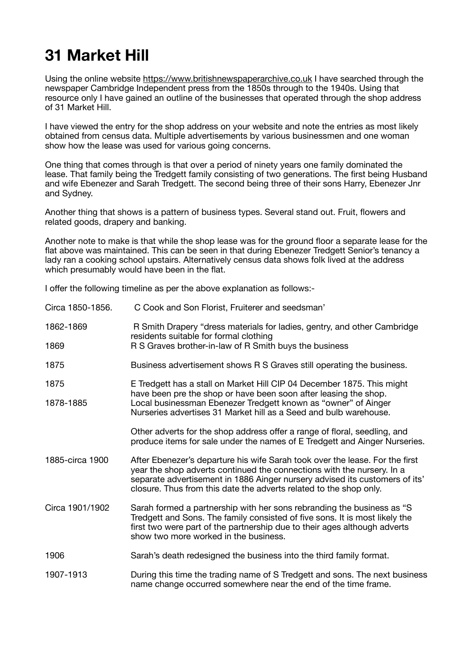## **31 Market Hill**

Using the online website<https://www.britishnewspaperarchive.co.uk> I have searched through the newspaper Cambridge Independent press from the 1850s through to the 1940s. Using that resource only I have gained an outline of the businesses that operated through the shop address of 31 Market Hill.

I have viewed the entry for the shop address on your website and note the entries as most likely obtained from census data. Multiple advertisements by various businessmen and one woman show how the lease was used for various going concerns.

One thing that comes through is that over a period of ninety years one family dominated the lease. That family being the Tredgett family consisting of two generations. The first being Husband and wife Ebenezer and Sarah Tredgett. The second being three of their sons Harry, Ebenezer Jnr and Sydney.

Another thing that shows is a pattern of business types. Several stand out. Fruit, flowers and related goods, drapery and banking.

Another note to make is that while the shop lease was for the ground floor a separate lease for the flat above was maintained. This can be seen in that during Ebenezer Tredgett Senior's tenancy a lady ran a cooking school upstairs. Alternatively census data shows folk lived at the address which presumably would have been in the flat.

I offer the following timeline as per the above explanation as follows:-

| Circa 1850-1856. | C Cook and Son Florist, Fruiterer and seedsman'                                                                                                                                                                                                                                                             |
|------------------|-------------------------------------------------------------------------------------------------------------------------------------------------------------------------------------------------------------------------------------------------------------------------------------------------------------|
| 1862-1869        | R Smith Drapery "dress materials for ladies, gentry, and other Cambridge<br>residents suitable for formal clothing<br>R S Graves brother-in-law of R Smith buys the business                                                                                                                                |
| 1869             |                                                                                                                                                                                                                                                                                                             |
| 1875             | Business advertisement shows R S Graves still operating the business.                                                                                                                                                                                                                                       |
| 1875             | E Tredgett has a stall on Market Hill CIP 04 December 1875. This might<br>have been pre the shop or have been soon after leasing the shop.                                                                                                                                                                  |
| 1878-1885        | Local businessman Ebenezer Tredgett known as "owner" of Ainger<br>Nurseries advertises 31 Market hill as a Seed and bulb warehouse.                                                                                                                                                                         |
|                  | Other adverts for the shop address offer a range of floral, seedling, and<br>produce items for sale under the names of E Tredgett and Ainger Nurseries.                                                                                                                                                     |
| 1885-circa 1900  | After Ebenezer's departure his wife Sarah took over the lease. For the first<br>year the shop adverts continued the connections with the nursery. In a<br>separate advertisement in 1886 Ainger nursery advised its customers of its'<br>closure. Thus from this date the adverts related to the shop only. |
| Circa 1901/1902  | Sarah formed a partnership with her sons rebranding the business as "S<br>Tredgett and Sons. The family consisted of five sons. It is most likely the<br>first two were part of the partnership due to their ages although adverts<br>show two more worked in the business.                                 |
| 1906             | Sarah's death redesigned the business into the third family format.                                                                                                                                                                                                                                         |
| 1907-1913        | During this time the trading name of S Tredgett and sons. The next business<br>name change occurred somewhere near the end of the time frame.                                                                                                                                                               |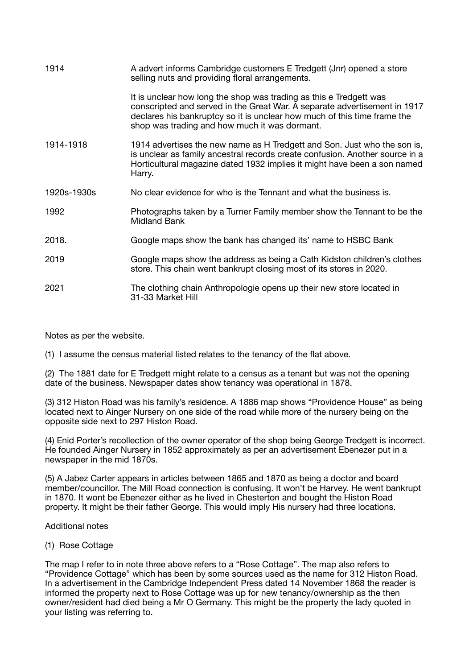| 1914        | A advert informs Cambridge customers E Tredgett (Jnr) opened a store<br>selling nuts and providing floral arrangements.                                                                                                                                                      |
|-------------|------------------------------------------------------------------------------------------------------------------------------------------------------------------------------------------------------------------------------------------------------------------------------|
|             | It is unclear how long the shop was trading as this e Tredgett was<br>conscripted and served in the Great War. A separate advertisement in 1917<br>declares his bankruptcy so it is unclear how much of this time frame the<br>shop was trading and how much it was dormant. |
| 1914-1918   | 1914 advertises the new name as H Tredgett and Son. Just who the son is,<br>is unclear as family ancestral records create confusion. Another source in a<br>Horticultural magazine dated 1932 implies it might have been a son named<br>Harry.                               |
| 1920s-1930s | No clear evidence for who is the Tennant and what the business is.                                                                                                                                                                                                           |
| 1992        | Photographs taken by a Turner Family member show the Tennant to be the<br><b>Midland Bank</b>                                                                                                                                                                                |
| 2018.       | Google maps show the bank has changed its' name to HSBC Bank                                                                                                                                                                                                                 |
| 2019        | Google maps show the address as being a Cath Kidston children's clothes<br>store. This chain went bankrupt closing most of its stores in 2020.                                                                                                                               |
|             |                                                                                                                                                                                                                                                                              |

Notes as per the website.

(1) I assume the census material listed relates to the tenancy of the flat above.

(2) The 1881 date for E Tredgett might relate to a census as a tenant but was not the opening date of the business. Newspaper dates show tenancy was operational in 1878.

(3) 312 Histon Road was his family's residence. A 1886 map shows "Providence House" as being located next to Ainger Nursery on one side of the road while more of the nursery being on the opposite side next to 297 Histon Road.

(4) Enid Porter's recollection of the owner operator of the shop being George Tredgett is incorrect. He founded Ainger Nursery in 1852 approximately as per an advertisement Ebenezer put in a newspaper in the mid 1870s.

(5) A Jabez Carter appears in articles between 1865 and 1870 as being a doctor and board member/councillor. The Mill Road connection is confusing. It won't be Harvey. He went bankrupt in 1870. It wont be Ebenezer either as he lived in Chesterton and bought the Histon Road property. It might be their father George. This would imply His nursery had three locations.

## Additional notes

## (1) Rose Cottage

The map I refer to in note three above refers to a "Rose Cottage". The map also refers to "Providence Cottage" which has been by some sources used as the name for 312 Histon Road. In a advertisement in the Cambridge Independent Press dated 14 November 1868 the reader is informed the property next to Rose Cottage was up for new tenancy/ownership as the then owner/resident had died being a Mr O Germany. This might be the property the lady quoted in your listing was referring to.